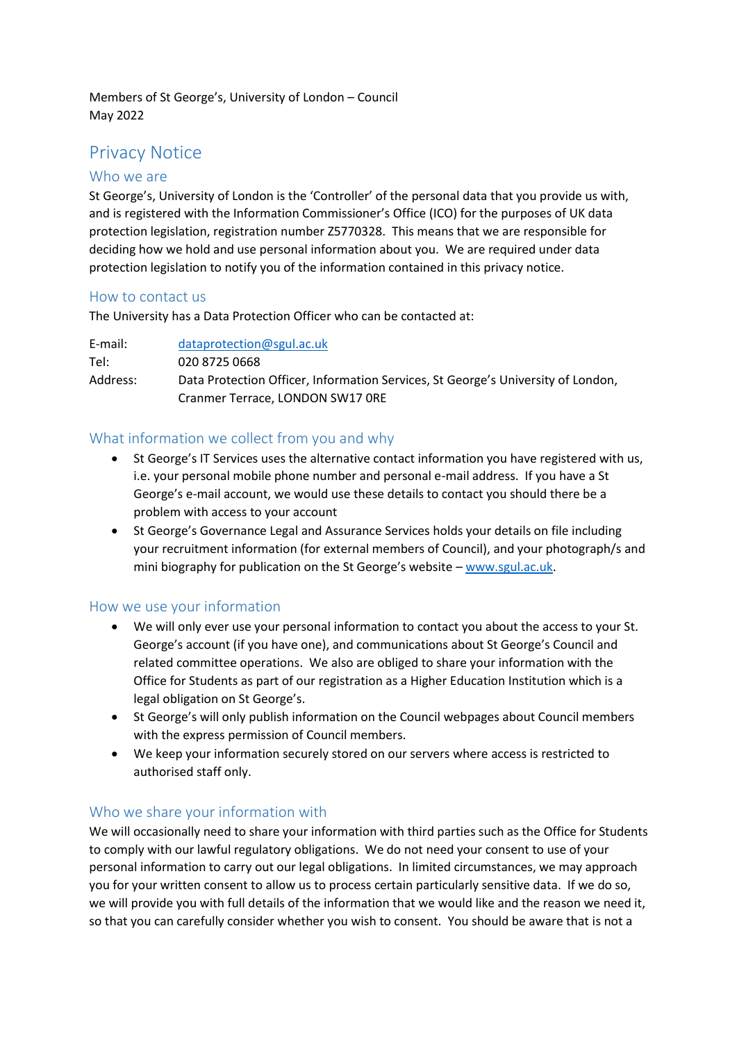Members of St George's, University of London – Council May 2022

# Privacy Notice

#### Who we are

St George's, University of London is the 'Controller' of the personal data that you provide us with, and is registered with the Information Commissioner's Office (ICO) for the purposes of UK data protection legislation, registration number Z5770328. This means that we are responsible for deciding how we hold and use personal information about you. We are required under data protection legislation to notify you of the information contained in this privacy notice.

#### How to contact us

The University has a Data Protection Officer who can be contacted at:

E-mail: [dataprotection@sgul.ac.uk](mailto:dataprotection@sgul.ac.uk) Tel: 020 8725 0668 Address: Data Protection Officer, Information Services, St George's University of London, Cranmer Terrace, LONDON SW17 0RE

## What information we collect from you and why

- St George's IT Services uses the alternative contact information you have registered with us, i.e. your personal mobile phone number and personal e-mail address. If you have a St George's e-mail account, we would use these details to contact you should there be a problem with access to your account
- St George's Governance Legal and Assurance Services holds your details on file including your recruitment information (for external members of Council), and your photograph/s and mini biography for publication on the St George's website – [www.sgul.ac.uk.](http://www.sgul.ac.uk/)

#### How we use your information

- We will only ever use your personal information to contact you about the access to your St. George's account (if you have one), and communications about St George's Council and related committee operations. We also are obliged to share your information with the Office for Students as part of our registration as a Higher Education Institution which is a legal obligation on St George's.
- St George's will only publish information on the Council webpages about Council members with the express permission of Council members.
- We keep your information securely stored on our servers where access is restricted to authorised staff only.

#### Who we share your information with

We will occasionally need to share your information with third parties such as the Office for Students to comply with our lawful regulatory obligations. We do not need your consent to use of your personal information to carry out our legal obligations. In limited circumstances, we may approach you for your written consent to allow us to process certain particularly sensitive data. If we do so, we will provide you with full details of the information that we would like and the reason we need it, so that you can carefully consider whether you wish to consent. You should be aware that is not a